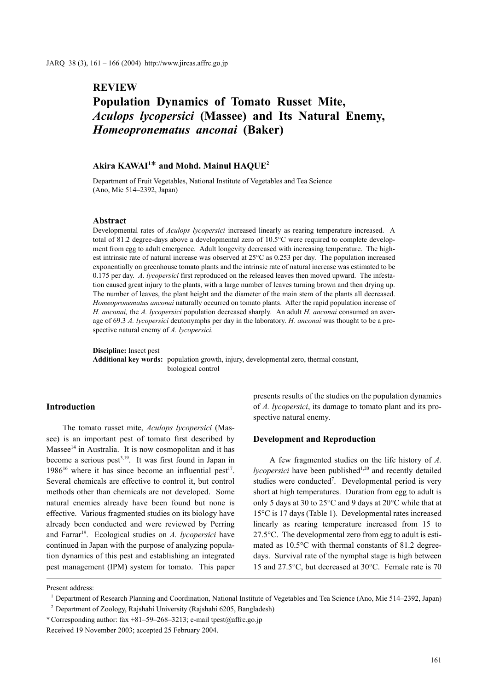## **REVIEW**

# **Population Dynamics of Tomato Russet Mite,**  *Aculops lycopersici* **(Massee) and Its Natural Enemy,**  *Homeopronematus anconai* **(Baker)**

### **Akira KAWAI1** \* **and Mohd. Mainul HAQUE2**

Department of Fruit Vegetables, National Institute of Vegetables and Tea Science (Ano, Mie 514–2392, Japan)

#### **Abstract**

Developmental rates of *Aculops lycopersici* increased linearly as rearing temperature increased. A total of 81.2 degree-days above a developmental zero of 10.5°C were required to complete development from egg to adult emergence. Adult longevity decreased with increasing temperature. The highest intrinsic rate of natural increase was observed at 25°C as 0.253 per day. The population increased exponentially on greenhouse tomato plants and the intrinsic rate of natural increase was estimated to be 0.175 per day. *A. lycopersici* first reproduced on the released leaves then moved upward. The infestation caused great injury to the plants, with a large number of leaves turning brown and then drying up. The number of leaves, the plant height and the diameter of the main stem of the plants all decreased. *Homeopronematus anconai* naturally occurred on tomato plants. After the rapid population increase of *H. anconai,* the *A. lycopersici* population decreased sharply. An adult *H. anconai* consumed an average of 69.3 *A. lycopersici* deutonymphs per day in the laboratory. *H. anconai* was thought to be a prospective natural enemy of *A. lycopersici.*

**Discipline:** Insect pest

**Additional key words:** population growth, injury, developmental zero, thermal constant, biological control

#### **Introduction**

The tomato russet mite, *Aculops lycopersici* (Massee) is an important pest of tomato first described by  $M$ assee<sup>14</sup> in Australia. It is now cosmopolitan and it has become a serious pest<sup>3,19</sup>. It was first found in Japan in  $1986^{16}$  where it has since become an influential pest<sup>17</sup>. Several chemicals are effective to control it, but control methods other than chemicals are not developed. Some natural enemies already have been found but none is effective. Various fragmented studies on its biology have already been conducted and were reviewed by Perring and Farrar<sup>19</sup>. Ecological studies on *A. lycopersici* have continued in Japan with the purpose of analyzing population dynamics of this pest and establishing an integrated pest management (IPM) system for tomato. This paper presents results of the studies on the population dynamics of *A. lycopersici*, its damage to tomato plant and its prospective natural enemy.

#### **Development and Reproduction**

A few fragmented studies on the life history of *A. lycopersici* have been published<sup>1,20</sup> and recently detailed studies were conducted<sup>7</sup>. Developmental period is very short at high temperatures. Duration from egg to adult is only 5 days at 30 to 25°C and 9 days at 20°C while that at 15°C is 17 days (Table 1). Developmental rates increased linearly as rearing temperature increased from 15 to 27.5°C. The developmental zero from egg to adult is estimated as 10.5°C with thermal constants of 81.2 degreedays. Survival rate of the nymphal stage is high between 15 and 27.5°C, but decreased at 30°C. Female rate is 70

Present address:

<sup>1</sup> Department of Research Planning and Coordination, National Institute of Vegetables and Tea Science (Ano, Mie 514–2392, Japan)

<sup>2</sup> Department of Zoology, Rajshahi University (Rajshahi 6205, Bangladesh)

<sup>\*</sup> Corresponding author: fax +81–59–268–3213; e-mail tpest@affrc.go.jp

Received 19 November 2003; accepted 25 February 2004.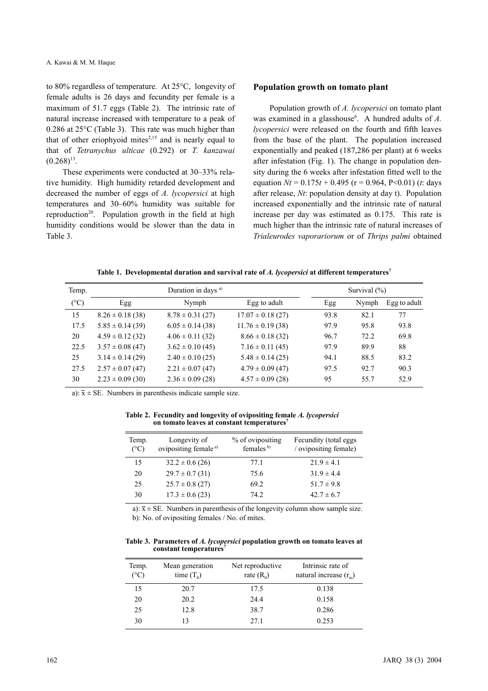to 80% regardless of temperature. At 25°C, longevity of female adults is 26 days and fecundity per female is a maximum of 51.7 eggs (Table 2). The intrinsic rate of natural increase increased with temperature to a peak of 0.286 at 25°C (Table 3). This rate was much higher than that of other eriophyoid mites $2,15$  and is nearly equal to that of *Tetranychus ulticae* (0.292) or *T. kanzawai*  $(0.268)^{13}$ .

These experiments were conducted at 30–33% relative humidity. High humidity retarded development and decreased the number of eggs of *A. lycopersici* at high temperatures and 30–60% humidity was suitable for reproduction<sup>20</sup>. Population growth in the field at high humidity conditions would be slower than the data in Table 3.

#### **Population growth on tomato plant**

Population growth of *A. lycopersici* on tomato plant was examined in a glasshouse<sup>6</sup>. A hundred adults of A. *lycopersici* were released on the fourth and fifth leaves from the base of the plant. The population increased exponentially and peaked (187,286 per plant) at 6 weeks after infestation (Fig. 1). The change in population density during the 6 weeks after infestation fitted well to the equation  $Nt = 0.175t + 0.495$  ( $r = 0.964$ ,  $P < 0.01$ ) (*t*: days after release, *Nt*: population density at day t). Population increased exponentially and the intrinsic rate of natural increase per day was estimated as 0.175. This rate is much higher than the intrinsic rate of natural increases of *Trialeurodes vaporariorum* or of *Thrips palmi* obtained

Table 1. Developmental duration and survival rate of A. *lycopersici* at different temperatures<sup>7</sup>

| Temp.           | Duration in days <sup>a)</sup> |                      |                       | Survival $(\% )$ |       |              |
|-----------------|--------------------------------|----------------------|-----------------------|------------------|-------|--------------|
| $({}^{\circ}C)$ | Egg                            | Nymph                | Egg to adult          | Egg              | Nymph | Egg to adult |
| 15              | $8.26 \pm 0.18$ (38)           | $8.78 \pm 0.31$ (27) | $17.07 \pm 0.18$ (27) | 93.8             | 82.1  | 77           |
| 17.5            | $5.85 \pm 0.14$ (39)           | $6.05 \pm 0.14$ (38) | $11.76 \pm 0.19$ (38) | 97.9             | 95.8  | 93.8         |
| 20              | $4.59 \pm 0.12$ (32)           | $4.06 \pm 0.11$ (32) | $8.66 \pm 0.18$ (32)  | 96.7             | 72.2  | 69.8         |
| 22.5            | $3.57 \pm 0.08$ (47)           | $3.62 \pm 0.10(45)$  | $7.16 \pm 0.11$ (45)  | 97.9             | 89.9  | 88           |
| 25              | $3.14 \pm 0.14$ (29)           | $2.40 \pm 0.10$ (25) | $5.48 \pm 0.14$ (25)  | 94.1             | 88.5  | 83.2         |
| 27.5            | $2.57 \pm 0.07$ (47)           | $2.21 \pm 0.07$ (47) | $4.79 \pm 0.09$ (47)  | 97.5             | 92.7  | 90.3         |
| 30              | $2.23 \pm 0.09$ (30)           | $2.36 \pm 0.09$ (28) | $4.57 \pm 0.09$ (28)  | 95               | 55.7  | 52.9         |

a):  $\bar{x} \pm \text{SE}$ . Numbers in parenthesis indicate sample size.

**Table 2. Fecundity and longevity of ovipositing female** *A. lycopersici* **on tomato leaves at constant temperatures7**

| Longevity of<br>ovipositing female <sup>a)</sup> | % of ovipositing<br>females <sup>b)</sup> | Fecundity (total eggs)<br>/ ovipositing female) |
|--------------------------------------------------|-------------------------------------------|-------------------------------------------------|
| $32.2 \pm 0.6$ (26)                              | 77.1                                      | $21.9 \pm 4.1$                                  |
| $29.7 \pm 0.7$ (31)                              | 75.6                                      | $31.9 \pm 4.4$                                  |
| $25.7 \pm 0.8$ (27)                              | 69.2                                      | $51.7 \pm 9.8$                                  |
| $17.3 \pm 0.6$ (23)                              | 74 2                                      | $42.7 \pm 6.7$                                  |
|                                                  |                                           |                                                 |

a):  $\bar{x}$  ± SE. Numbers in parenthesis of the longevity column show sample size. b): No. of ovipositing females / No. of mites.

**Table 3. Parameters of** *A. lycopersici* **population growth on tomato leaves at** constant temperatures<sup>7</sup>

| Temp.<br>$(^{\circ}C)$ | Mean generation<br>time $(T_0)$ | Net reproductive<br>rate $(R_0)$ | Intrinsic rate of<br>natural increase $(r_m)$ |
|------------------------|---------------------------------|----------------------------------|-----------------------------------------------|
| 15                     | 20.7                            | 17.5                             | 0.138                                         |
| 20                     | 20.2                            | 24.4                             | 0.158                                         |
| 25                     | 12.8                            | 38.7                             | 0.286                                         |
| 30                     |                                 | 27.1                             | 0.253                                         |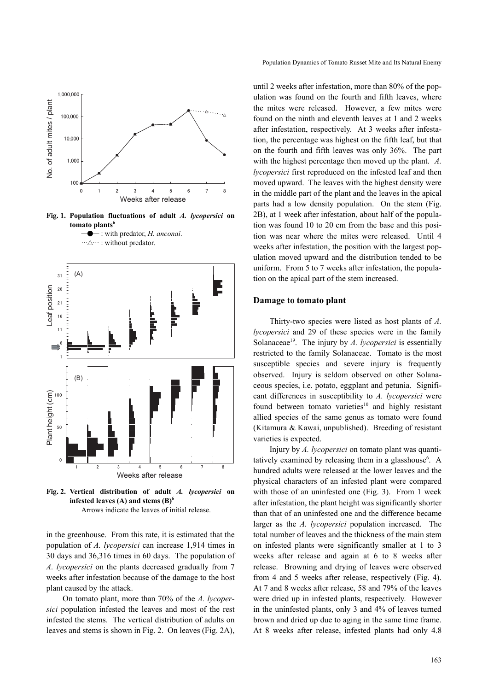

**Fig. 1. Population fluctuations of adult** *A. lycopersici* **on tomato plants6**





**Fig. 2. Vertical distribution of adult** *A. lycopersici* **on infested leaves (A) and stems (B)6** Arrows indicate the leaves of initial release.

in the greenhouse. From this rate, it is estimated that the population of *A. lycopersici* can increase 1,914 times in 30 days and 36,316 times in 60 days. The population of *A. lycopersici* on the plants decreased gradually from 7 weeks after infestation because of the damage to the host plant caused by the attack.

On tomato plant, more than 70% of the *A. lycopersici* population infested the leaves and most of the rest infested the stems. The vertical distribution of adults on leaves and stems is shown in Fig. 2. On leaves (Fig. 2A), Population Dynamics of Tomato Russet Mite and Its Natural Enemy

until 2 weeks after infestation, more than 80% of the population was found on the fourth and fifth leaves, where the mites were released. However, a few mites were found on the ninth and eleventh leaves at 1 and 2 weeks after infestation, respectively. At 3 weeks after infestation, the percentage was highest on the fifth leaf, but that on the fourth and fifth leaves was only 36%. The part with the highest percentage then moved up the plant. *A. lycopersici* first reproduced on the infested leaf and then moved upward. The leaves with the highest density were in the middle part of the plant and the leaves in the apical parts had a low density population. On the stem (Fig. 2B), at 1 week after infestation, about half of the population was found 10 to 20 cm from the base and this position was near where the mites were released. Until 4 weeks after infestation, the position with the largest population moved upward and the distribution tended to be uniform. From 5 to 7 weeks after infestation, the population on the apical part of the stem increased.

#### **Damage to tomato plant**

Thirty-two species were listed as host plants of *A. lycopersici* and 29 of these species were in the family Solanaceae<sup>19</sup>. The injury by *A. lycopersici* is essentially restricted to the family Solanaceae. Tomato is the most susceptible species and severe injury is frequently observed. Injury is seldom observed on other Solanaceous species, i.e. potato, eggplant and petunia. Significant differences in susceptibility to *A. lycopersici* were found between tomato varieties $10$  and highly resistant allied species of the same genus as tomato were found (Kitamura & Kawai, unpublished). Breeding of resistant varieties is expected.

Injury by *A. lycopersici* on tomato plant was quantitatively examined by releasing them in a glasshouse<sup>6</sup>. A hundred adults were released at the lower leaves and the physical characters of an infested plant were compared with those of an uninfested one (Fig. 3). From 1 week after infestation, the plant height was significantly shorter than that of an uninfested one and the difference became larger as the *A. lycopersici* population increased. The total number of leaves and the thickness of the main stem on infested plants were significantly smaller at 1 to 3 weeks after release and again at 6 to 8 weeks after release. Browning and drying of leaves were observed from 4 and 5 weeks after release, respectively (Fig. 4). At 7 and 8 weeks after release, 58 and 79% of the leaves were dried up in infested plants, respectively. However in the uninfested plants, only 3 and 4% of leaves turned brown and dried up due to aging in the same time frame. At 8 weeks after release, infested plants had only 4.8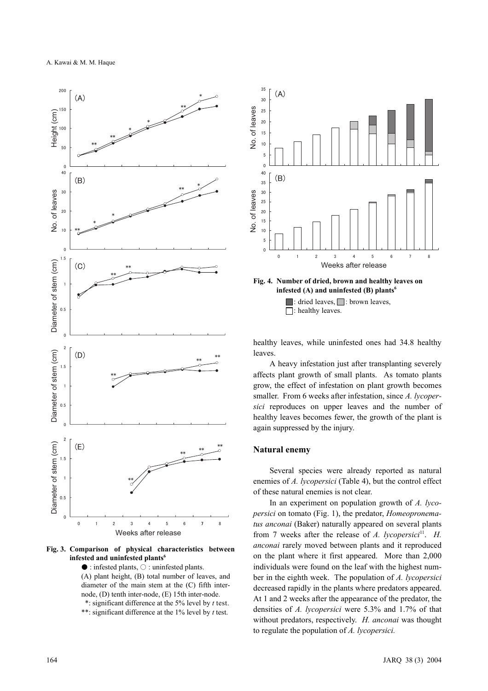

**Fig. 3. Comparison of physical characteristics between infested and uninfested plants6**

● : infested plants, ○ : uninfested plants. (A) plant height, (B) total number of leaves, and diameter of the main stem at the (C) fifth internode, (D) tenth inter-node, (E) 15th inter-node. \*: significant difference at the 5% level by *t* test. \*\*: significant difference at the 1% level by *t* test.



**Fig. 4. Number of dried, brown and healthy leaves on infested (A) and uninfested (B) plants6**

 $\Box$ : dried leaves,  $\Box$ : brown leaves, : healthy leaves.

healthy leaves, while uninfested ones had 34.8 healthy leaves.

A heavy infestation just after transplanting severely affects plant growth of small plants. As tomato plants grow, the effect of infestation on plant growth becomes smaller. From 6 weeks after infestation, since *A. lycopersici* reproduces on upper leaves and the number of healthy leaves becomes fewer, the growth of the plant is again suppressed by the injury.

#### **Natural enemy**

Several species were already reported as natural enemies of *A. lycopersici* (Table 4), but the control effect of these natural enemies is not clear.

In an experiment on population growth of *A. lycopersici* on tomato (Fig. 1), the predator, *Homeopronematus anconai* (Baker) naturally appeared on several plants from 7 weeks after the release of *A. lycopersici*<sup>11</sup>. *H. anconai* rarely moved between plants and it reproduced on the plant where it first appeared. More than 2,000 individuals were found on the leaf with the highest number in the eighth week. The population of *A. lycopersici* decreased rapidly in the plants where predators appeared. At 1 and 2 weeks after the appearance of the predator, the densities of *A. lycopersici* were 5.3% and 1.7% of that without predators, respectively. *H. anconai* was thought to regulate the population of *A. lycopersici.*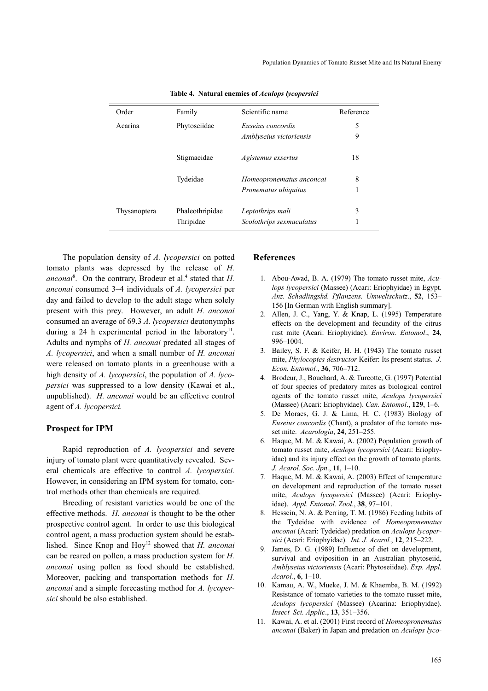| Order        | Family          | Scientific name          | Reference |
|--------------|-----------------|--------------------------|-----------|
| Acarina      | Phytoseiidae    | Euseius concordis        | 5         |
|              |                 | Amblyseius victoriensis  | 9         |
|              | Stigmaeidae     | Agistemus exsertus       | 18        |
|              | Tydeidae        | Homeopronematus anconcai | 8         |
|              |                 | Pronematus ubiquitus     | 1         |
| Thysanoptera | Phaleothripidae | Leptothrips mali         | 3         |
|              | Thripidae       | Scolothrips sexmaculatus |           |

**Table 4. Natural enemies of** *Aculops lycopersici*

The population density of *A. lycopersici* on potted tomato plants was depressed by the release of *H.* anconai<sup>8</sup>. On the contrary, Brodeur et al.<sup>4</sup> stated that *H*. *anconai* consumed 3–4 individuals of *A. lycopersici* per day and failed to develop to the adult stage when solely present with this prey. However, an adult *H. anconai* consumed an average of 69.3 *A. lycopersici* deutonymphs during a 24 h experimental period in the laboratory<sup>11</sup>. Adults and nymphs of *H. anconai* predated all stages of *A. lycopersici*, and when a small number of *H. anconai* were released on tomato plants in a greenhouse with a high density of *A. lycopersici*, the population of *A. lycopersici* was suppressed to a low density (Kawai et al., unpublished). *H. anconai* would be an effective control agent of *A. lycopersici.*

#### **Prospect for IPM**

Rapid reproduction of *A. lycopersici* and severe injury of tomato plant were quantitatively revealed. Several chemicals are effective to control *A. lycopersici.* However, in considering an IPM system for tomato, control methods other than chemicals are required.

Breeding of resistant varieties would be one of the effective methods. *H. anconai* is thought to be the other prospective control agent. In order to use this biological control agent, a mass production system should be established. Since Knop and Hoy<sup>12</sup> showed that *H. anconai* can be reared on pollen, a mass production system for *H. anconai* using pollen as food should be established. Moreover, packing and transportation methods for *H. anconai* and a simple forecasting method for *A. lycopersici* should be also established.

#### **References**

- 1. Abou-Awad, B. A. (1979) The tomato russet mite, *Aculops lycopersici* (Massee) (Acari: Eriophyidae) in Egypt. *Anz. Schadlingskd. Pflanzens. Umweltschutz*., **52**, 153– 156 [In German with English summary].
- 2. Allen, J. C., Yang, Y. & Knap, L. (1995) Temperature effects on the development and fecundity of the citrus rust mite (Acari: Eriophyidae). *Environ. Entomol*., **24**, 996–1004.
- 3. Bailey, S. F. & Keifer, H. H. (1943) The tomato russet mite, *Phylocoptes destructor* Keifer: Its present status. *J. Econ. Entomol.*, **36**, 706–712.
- 4. Brodeur, J., Bouchard, A. & Turcotte, G. (1997) Potential of four species of predatory mites as biological control agents of the tomato russet mite, *Aculops lycopersici* (Massee) (Acari: Eriophyidae). *Can. Entomol*., **129**, 1–6.
- 5. De Moraes, G. J. & Lima, H. C. (1983) Biology of *Euseius concordis* (Chant), a predator of the tomato russet mite. *Acarologia*, **24**, 251–255.
- 6. Haque, M. M. & Kawai, A. (2002) Population growth of tomato russet mite, *Aculops lycopersici* (Acari: Eriophyidae) and its injury effect on the growth of tomato plants. *J. Acarol. Soc. Jpn*., **11**, 1–10.
- 7. Haque, M. M. & Kawai, A. (2003) Effect of temperature on development and reproduction of the tomato russet mite, *Aculops lycopersici* (Massee) (Acari: Eriophyidae). *Appl. Entomol. Zool.*, **38**, 97–101.
- 8. Hessein, N. A. & Perring, T. M. (1986) Feeding habits of the Tydeidae with evidence of *Homeopronematus anconai* (Acari: Tydeidae) predation on *Aculops lycopersici* (Acari: Eriophyidae). *Int. J. Acarol.*, **12**, 215–222.
- 9. James, D. G. (1989) Influence of diet on development, survival and oviposition in an Australian phytoseiid, *Amblyseius victoriensis* (Acari: Phytoseiidae). *Exp. Appl. Acarol.*, **6**, 1–10.
- 10. Kamau, A. W., Mueke, J. M. & Khaemba, B. M. (1992) Resistance of tomato varieties to the tomato russet mite, *Aculops lycopersici* (Massee) (Acarina: Eriophyidae). *Insect Sci. Applic*., **13**, 351–356.
- 11. Kawai, A. et al. (2001) First record of *Homeopronematus anconai* (Baker) in Japan and predation on *Aculops lyco-*